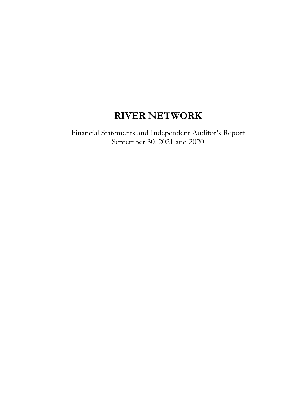# **RIVER NETWORK**

Financial Statements and Independent Auditor's Report September 30, 2021 and 2020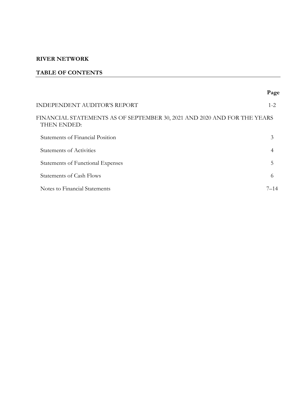## **RIVER NETWORK**

## **TABLE OF CONTENTS**

|                                                                                         | Page    |
|-----------------------------------------------------------------------------------------|---------|
| INDEPENDENT AUDITOR'S REPORT                                                            | $1 - 2$ |
| FINANCIAL STATEMENTS AS OF SEPTEMBER 30, 2021 AND 2020 AND FOR THE YEARS<br>THEN ENDED: |         |
| Statements of Financial Position                                                        | 3       |
| Statements of Activities                                                                | 4       |
| Statements of Functional Expenses                                                       | 5       |
| Statements of Cash Flows                                                                | 6       |
| Notes to Financial Statements                                                           | 7–14    |
|                                                                                         |         |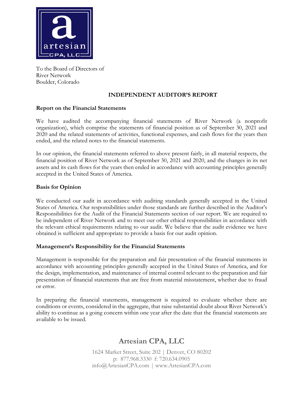

To the Board of Directors of River Network Boulder, Colorado

## **INDEPENDENT AUDITOR'S REPORT**

#### **Report on the Financial Statements**

We have audited the accompanying financial statements of River Network (a nonprofit organization), which comprise the statements of financial position as of September 30, 2021 and 2020 and the related statements of activities, functional expenses, and cash flows for the years then ended, and the related notes to the financial statements.

In our opinion, the financial statements referred to above present fairly, in all material respects, the financial position of River Network as of September 30, 2021 and 2020, and the changes in its net assets and its cash flows for the years then ended in accordance with accounting principles generally accepted in the United States of America.

#### **Basis for Opinion**

We conducted our audit in accordance with auditing standards generally accepted in the United States of America. Our responsibilities under those standards are further described in the Auditor's Responsibilities for the Audit of the Financial Statements section of our report. We are required to be independent of River Network and to meet our other ethical responsibilities in accordance with the relevant ethical requirements relating to our audit. We believe that the audit evidence we have obtained is sufficient and appropriate to provide a basis for our audit opinion.

## **Management's Responsibility for the Financial Statements**

Management is responsible for the preparation and fair presentation of the financial statements in accordance with accounting principles generally accepted in the United States of America, and for the design, implementation, and maintenance of internal control relevant to the preparation and fair presentation of financial statements that are free from material misstatement, whether due to fraud or error.

In preparing the financial statements, management is required to evaluate whether there are conditions or events, considered in the aggregate, that raise substantial doubt about River Network's ability to continue as a going concern within one year after the date that the financial statements are available to be issued.

## **Artesian CPA, LLC**

1624 Market Street, Suite 202 | Denver, CO 80202 p: 877.968.3330 f: 720.634.0905 info@ArtesianCPA.com | www.ArtesianCPA.com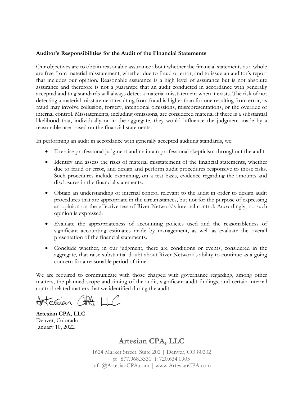#### **Auditor's Responsibilities for the Audit of the Financial Statements**

Our objectives are to obtain reasonable assurance about whether the financial statements as a whole are free from material misstatement, whether due to fraud or error, and to issue an auditor's report that includes our opinion. Reasonable assurance is a high level of assurance but is not absolute assurance and therefore is not a guarantee that an audit conducted in accordance with generally accepted auditing standards will always detect a material misstatement when it exists. The risk of not detecting a material misstatement resulting from fraud is higher than for one resulting from error, as fraud may involve collusion, forgery, intentional omissions, misrepresentations, or the override of internal control. Misstatements, including omissions, are considered material if there is a substantial likelihood that, individually or in the aggregate, they would influence the judgment made by a reasonable user based on the financial statements.

In performing an audit in accordance with generally accepted auditing standards, we:

- Exercise professional judgment and maintain professional skepticism throughout the audit.
- Identify and assess the risks of material misstatement of the financial statements, whether due to fraud or error, and design and perform audit procedures responsive to those risks. Such procedures include examining, on a test basis, evidence regarding the amounts and disclosures in the financial statements.
- Obtain an understanding of internal control relevant to the audit in order to design audit procedures that are appropriate in the circumstances, but not for the purpose of expressing an opinion on the effectiveness of River Network's internal control. Accordingly, no such opinion is expressed.
- Evaluate the appropriateness of accounting policies used and the reasonableness of significant accounting estimates made by management, as well as evaluate the overall presentation of the financial statements.
- Conclude whether, in our judgment, there are conditions or events, considered in the aggregate, that raise substantial doubt about River Network's ability to continue as a going concern for a reasonable period of time.

We are required to communicate with those charged with governance regarding, among other matters, the planned scope and timing of the audit, significant audit findings, and certain internal control related matters that we identified during the audit.

Antesian CRA LLC

**Artesian CPA, LLC**  Denver, Colorado January 10, 2022

## **Artesian CPA, LLC**

1624 Market Street, Suite 202 | Denver, CO 80202 p: 877.968.3330 f: 720.634.0905 info@ArtesianCPA.com | www.ArtesianCPA.com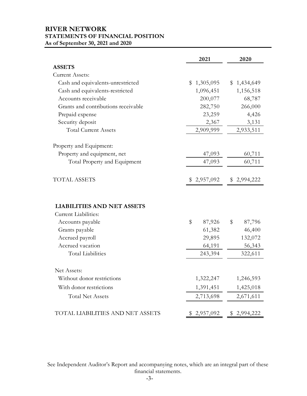## **RIVER NETWORK STATEMENTS OF FINANCIAL POSITION As of September 30, 2021 and 2020**

|                                     | 2021            |    | 2020        |
|-------------------------------------|-----------------|----|-------------|
| <b>ASSETS</b>                       |                 |    |             |
| <b>Current Assets:</b>              |                 |    |             |
| Cash and equivalents-unrestricted   | \$<br>1,305,095 |    | \$1,434,649 |
| Cash and equivalents-restricted     | 1,096,451       |    | 1,156,518   |
| Accounts receivable                 | 200,077         |    | 68,787      |
| Grants and contributions receivable | 282,750         |    | 266,000     |
| Prepaid expense                     | 23,259          |    | 4,426       |
| Security deposit                    | 2,367           |    | 3,131       |
| <b>Total Current Assets</b>         | 2,909,999       |    | 2,933,511   |
| Property and Equipment:             |                 |    |             |
| Property and equipment, net         | 47,093          |    | 60,711      |
| Total Property and Equipment        | 47,093          |    | 60,711      |
| <b>TOTAL ASSETS</b>                 | \$2,957,092     |    | \$2,994,222 |
| <b>LIABILITIES AND NET ASSETS</b>   |                 |    |             |
| <b>Current Liabilities:</b>         |                 |    |             |
| Accounts payable                    | \$<br>87,926    | \$ | 87,796      |
| Grants payable                      | 61,382          |    | 46,400      |
| Accrued payroll                     | 29,895          |    | 132,072     |
| Accrued vacation                    | 64,191          |    | 56,343      |
| <b>Total Liabilities</b>            | 243,394         |    | 322,611     |
| Net Assets:                         |                 |    |             |
| Without donor restrictions          | 1,322,247       |    | 1,246,593   |
| With donor restrictions             | 1,391,451       |    | 1,425,018   |
| <b>Total Net Assets</b>             | 2,713,698       |    | 2,671,611   |
| TOTAL LIABILITIES AND NET ASSETS    | \$2,957,092     |    | \$2,994,222 |

See Independent Auditor's Report and accompanying notes, which are an integral part of these financial statements.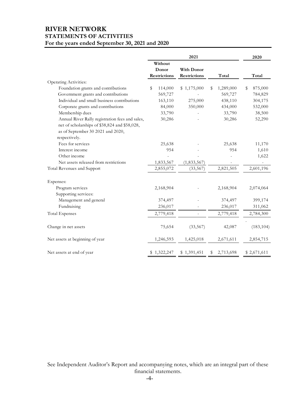## **RIVER NETWORK STATEMENTS OF ACTIVITIES For the years ended September 30, 2021 and 2020**

|                                                                                                                                                        | 2021                                    |                            |                 | 2020          |
|--------------------------------------------------------------------------------------------------------------------------------------------------------|-----------------------------------------|----------------------------|-----------------|---------------|
|                                                                                                                                                        | Without<br>Donor<br><b>Restrictions</b> | With Donor<br>Restrictions | Total           | Total         |
| Operating Activities:                                                                                                                                  |                                         |                            |                 |               |
| Foundation grants and contributions                                                                                                                    | 114,000<br>\$                           | \$1,175,000                | 1,289,000<br>\$ | 875,000<br>\$ |
| Government grants and contributions                                                                                                                    | 569,727                                 |                            | 569,727         | 784,829       |
| Individual and small business contributions                                                                                                            | 163,110                                 | 275,000                    | 438,110         | 304,175       |
| Corporate grants and contributions                                                                                                                     | 84,000                                  | 350,000                    | 434,000         | 532,000       |
| Membership dues                                                                                                                                        | 33,790                                  |                            | 33,790          | 38,500        |
| Annual River Rally registration fees and sales,<br>net of scholarships of \$38,824 and \$58,028,<br>as of September 30 2021 and 2020,<br>respectively. | 30,286                                  |                            | 30,286          | 52,290        |
| Fees for services                                                                                                                                      | 25,638                                  |                            | 25,638          | 11,170        |
| Interest income                                                                                                                                        | 954                                     |                            | 954             | 1,610         |
| Other income                                                                                                                                           |                                         |                            |                 | 1,622         |
| Net assets released from restrictions                                                                                                                  | 1,833,567                               | (1,833,567)                |                 |               |
| Total Revenues and Support                                                                                                                             | 2,855,072                               | (33, 567)                  | 2,821,505       | 2,601,196     |
| Expenses:                                                                                                                                              |                                         |                            |                 |               |
| Program services                                                                                                                                       | 2,168,904                               |                            | 2,168,904       | 2,074,064     |
| Supporting services:                                                                                                                                   |                                         |                            |                 |               |
| Management and general                                                                                                                                 | 374,497                                 |                            | 374,497         | 399,174       |
| Fundraising                                                                                                                                            | 236,017                                 |                            | 236,017         | 311,062       |
| <b>Total Expenses</b>                                                                                                                                  | 2,779,418                               |                            | 2,779,418       | 2,784,300     |
| Change in net assets                                                                                                                                   | 75,654                                  | (33, 567)                  | 42,087          | (183, 104)    |
| Net assets at beginning of year                                                                                                                        | 1,246,593                               | 1,425,018                  | 2,671,611       | 2,854,715     |
| Net assets at end of year                                                                                                                              | \$1,322,247                             | \$1,391,451                | 2,713,698<br>S  | \$2,671,611   |

See Independent Auditor's Report and accompanying notes, which are an integral part of these financial statements.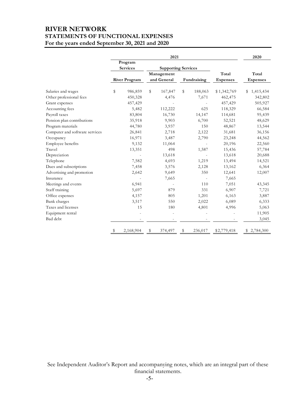## **RIVER NETWORK STATEMENTS OF FUNCTIONAL EXPENSES For the years ended September 30, 2021 and 2020**

|                                | 2021                       |                           |                            |                          |                          |
|--------------------------------|----------------------------|---------------------------|----------------------------|--------------------------|--------------------------|
|                                | Program<br><b>Services</b> |                           | <b>Supporting Services</b> |                          |                          |
|                                | <b>River Program</b>       | Management<br>and General | Fundraising                | Total<br><b>Expenses</b> | Total<br><b>Expenses</b> |
| Salaries and wages             | \$<br>986,859              | \$<br>167,847             | \$<br>188,063              | \$1,342,769              | 1,415,434<br>S           |
| Other professional fees        | 450,328                    | 4,476                     | 7,671                      | 462,475                  | 342,802                  |
| Grant expenses                 | 457,429                    |                           |                            | 457,429                  | 505,927                  |
| Accounting fees                | 5,482                      | 112,222                   | 625                        | 118,329                  | 66,584                   |
| Payroll taxes                  | 83,804                     | 16,730                    | 14,147                     | 114,681                  | 95,439                   |
| Pension plan contributions     | 35,918                     | 9,903                     | 6,700                      | 52,521                   | 48,629                   |
| Program materials              | 44,780                     | 3,937                     | 150                        | 48,867                   | 13,544                   |
| Computer and software services | 26,841                     | 2,718                     | 2,122                      | 31,681                   | 36,156                   |
| Occupancy                      | 16,971                     | 3,487                     | 2,790                      | 23,248                   | 44,562                   |
| Employee benefits              | 9,132                      | 11,064                    |                            | 20,196                   | 22,560                   |
| Travel                         | 13,351                     | 498                       | 1,587                      | 15,436                   | 57,784                   |
| Depreciation                   |                            | 13,618                    |                            | 13,618                   | 20,688                   |
| Telephone                      | 7,582                      | 4,693                     | 1,219                      | 13,494                   | 14,521                   |
| Dues and subscriptions         | 7,458                      | 3,576                     | 2,128                      | 13,162                   | 6,364                    |
| Advertising and promotion      | 2,642                      | 9,649                     | 350                        | 12,641                   | 12,007                   |
| Insurance                      |                            | 7,665                     |                            | 7,665                    |                          |
| Meetings and events            | 6,941                      |                           | 110                        | 7,051                    | 43,345                   |
| Staff training                 | 5,697                      | 879                       | 331                        | 6,907                    | 7,721                    |
| Office expenses                | 4,157                      | 805                       | 1,201                      | 6,163                    | 3,887                    |
| Bank charges                   | 3,517                      | 550                       | 2,022                      | 6,089                    | 6,333                    |
| Taxes and licenses             | 15                         | 180                       | 4,801                      | 4,996                    | 5,063                    |
| Equipment rental               |                            |                           |                            |                          | 11,905                   |
| Bad debt                       |                            |                           |                            |                          | 3,045                    |
|                                | \$<br>2,168,904            | 374,497<br>S              | 236,017<br>Ş               | \$2,779,418              | 2,784,300<br>\$.         |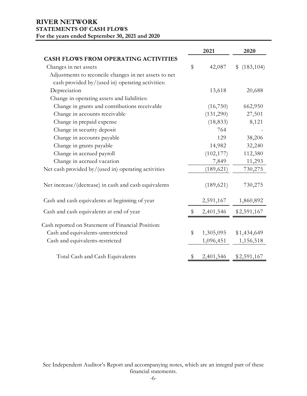## **RIVER NETWORK STATEMENTS OF CASH FLOWS For the years ended September 30, 2021 and 2020**

|                                                       | 2021            | 2020             |
|-------------------------------------------------------|-----------------|------------------|
| <b>CASH FLOWS FROM OPERATING ACTIVITIES</b>           |                 |                  |
| Changes in net assets                                 | \$<br>42,087    | (183, 104)<br>\$ |
| Adjustments to reconcile changes in net assets to net |                 |                  |
| cash provided by/(used in) operating activities:      |                 |                  |
| Depreciation                                          | 13,618          | 20,688           |
| Change in operating assets and liabilities:           |                 |                  |
| Change in grants and contributions receivable         | (16,750)        | 662,950          |
| Change in accounts receivable                         | (131,290)       | 27,501           |
| Change in prepaid expense                             | (18, 833)       | 8,121            |
| Change in security deposit                            | 764             |                  |
| Change in accounts payable                            | 129             | 38,206           |
| Change in grants payable                              | 14,982          | 32,240           |
| Change in accrued payroll                             | (102, 177)      | 112,380          |
| Change in accrued vacation                            | 7,849           | 11,293           |
| Net cash provided by/(used in) operating activities   | (189, 621)      | 730,275          |
| Net increase/(decrease) in cash and cash equivalents  | (189, 621)      | 730,275          |
| Cash and cash equivalents at beginning of year        | 2,591,167       | 1,860,892        |
| Cash and cash equivalents at end of year              | \$<br>2,401,546 | \$2,591,167      |
| Cash reported on Statement of Financial Position:     |                 |                  |
| Cash and equivalents-unrestricted                     | \$<br>1,305,095 | \$1,434,649      |
| Cash and equivalents-restricted                       | 1,096,451       | 1,156,518        |
|                                                       |                 |                  |
| Total Cash and Cash Equivalents                       | \$<br>2,401,546 | \$2,591,167      |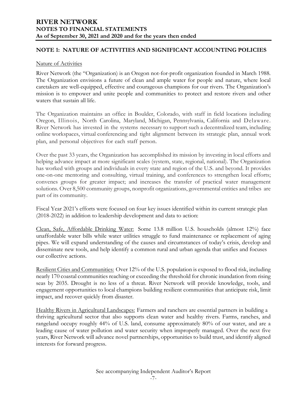## **NOTE 1: NATURE OF ACTIVITIES AND SIGNIFICANT ACCOUNTING POLICIES**

#### Nature of Activities

River Network (the "Organization) is an Oregon not-for-profit organization founded in March 1988. The Organization envisions a future of clean and ample water for people and nature, where local caretakers are well-equipped, effective and courageous champions for our rivers. The Organization's mission is to empower and unite people and communities to protect and restore rivers and other waters that sustain all life.

The Organization maintains an office in Boulder, Colorado, with staff in field locations including Oregon, Illinois, North Carolina, Maryland, Michigan, Pennsylvania, California and Delaware. River Network has invested in the systems necessary to support such a decentralized team, including online workspaces, virtual conferencing and tight alignment between its strategic plan, annual work plan, and personal objectives for each staff person.

Over the past 33 years, the Organization has accomplished its mission by investing in local efforts and helping advance impact at more significant scales (system, state, regional, national). The Organization has worked with groups and individuals in every state and region of the U.S. and beyond. It provides one-on-one mentoring and consulting, virtual training, and conferences to strengthen local efforts; convenes groups for greater impact; and increases the transfer of practical water management solutions. Over 8,500 community groups, nonprofit organizations, governmental entities and tribes are part of its community.

Fiscal Year 2021's efforts were focused on four key issues identified within its current strategic plan (2018-2022) in addition to leadership development and data to action:

Clean, Safe, Affordable Drinking Water: Some 13.8 million U.S. households (almost 12%) face unaffordable water bills while water utilities struggle to fund maintenance or replacement of aging pipes. We will expand understanding of the causes and circumstances of today's crisis, develop and disseminate new tools, and help identify a common rural and urban agenda that unifies and focuses our collective actions.

Resilient Cities and Communities: Over 12% of the U.S. population is exposed to flood risk, including nearly 170 coastal communities reaching or exceeding the threshold for chronic inundation from rising seas by 2035. Drought is no less of a threat. River Network will provide knowledge, tools, and engagement opportunities to local champions building resilient communities that anticipate risk, limit impact, and recover quickly from disaster.

Healthy Rivers in Agricultural Landscapes: Farmers and ranchers are essential partners in building a thriving agricultural sector that also supports clean water and healthy rivers. Farms, ranches, and rangeland occupy roughly 44% of U.S. land, consume approximately 80% of our water, and are a leading cause of water pollution and water security when improperly managed. Over the next five years, River Network will advance novel partnerships, opportunities to build trust, and identify aligned interests for forward progress.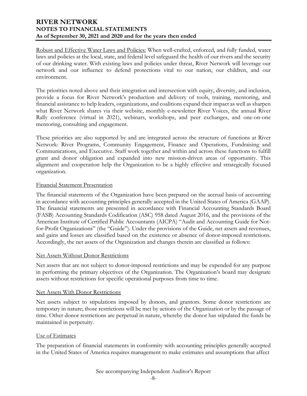Robust and Effective Water Laws and Policies: When well-crafted, enforced, and fully funded, water laws and policies at the local, state, and federal level safeguard the health of our rivers and the security of our drinking water. With existing laws and policies under threat, River Network will leverage our network and our influence to defend protections vital to our nation, our children, and our environment.

The priorities noted above and their integration and intersection with equity, diversity, and inclusion, provide a focus for River Network's production and delivery of tools, training, mentoring, and financial assistance to help leaders, organizations, and coalitions expand their impact as well as sharpen what River Network shares via their website, monthly e-newsletter River Voices, the annual River Rally conference (virtual in 2021), webinars, workshops, and peer exchanges, and one-on-one mentoring, consulting and engagement.

These priorities are also supported by and are integrated across the structure of functions at River Network: River Programs, Community Engagement, Finance and Operations, Fundraising and Communications, and Executive. Staff work together and within and across these functions to fulfill grant and donor obligation and expanded into new mission-driven areas of opportunity. This alignment and cooperation help the Organization to be a highly effective and strategically focused organization.

#### Financial Statement Presentation

The financial statements of the Organization have been prepared on the accrual basis of accounting in accordance with accounting principles generally accepted in the United States of America (GAAP). The financial statements are presented in accordance with Financial Accounting Standards Board (FASB) Accounting Standards Codification (ASC) 958 dated August 2016, and the provisions of the American Institute of Certified Public Accountants (AICPA) "Audit and Accounting Guide for Notfor-Profit Organizations" (the "Guide"). Under the provisions of the Guide, net assets and revenues, and gains and losses are classified based on the existence or absence of donor-imposed restrictions. Accordingly, the net assets of the Organization and changes therein are classified as follows:

## Net Assets Without Donor Restrictions

Net assets that are not subject to donor-imposed restrictions and may be expended for any purpose in performing the primary objectives of the Organization. The Organization's board may designate assets without restrictions for specific operational purposes from time to time.

## Net Assets With Donor Restrictions

Net assets subject to stipulations imposed by donors, and grantors. Some donor restrictions are temporary in nature; those restrictions will be met by actions of the Organization or by the passage of time. Other donor restrictions are perpetual in nature, whereby the donor has stipulated the funds be maintained in perpetuity.

## Use of Estimates

The preparation of financial statements in conformity with accounting principles generally accepted in the United States of America requires management to make estimates and assumptions that affect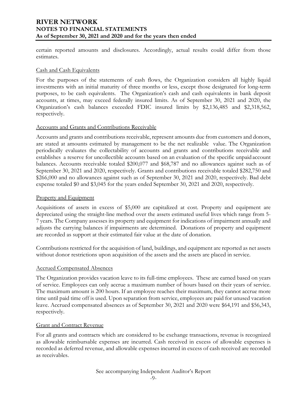certain reported amounts and disclosures. Accordingly, actual results could differ from those estimates.

#### Cash and Cash Equivalents

For the purposes of the statements of cash flows, the Organization considers all highly liquid investments with an initial maturity of three months or less, except those designated for long-term purposes, to be cash equivalents. The Organization's cash and cash equivalents in bank deposit accounts, at times, may exceed federally insured limits. As of September 30, 2021 and 2020, the Organization's cash balances exceeded FDIC insured limits by \$2,136,485 and \$2,318,562, respectively.

#### Accounts and Grants and Contributions Receivable

Accounts and grants and contributions receivable, represent amounts due from customers and donors, are stated at amounts estimated by management to be the net realizable value. The Organization periodically evaluates the collectability of accounts and grants and contributions receivable and establishes a reserve for uncollectible accounts based on an evaluation of the specific unpaid account balances. Accounts receivable totaled \$200,077 and \$68,787 and no allowances against such as of September 30, 2021 and 2020, respectively. Grants and contributions receivable totaled \$282,750 and \$266,000 and no allowances against such as of September 30, 2021 and 2020, respectively. Bad debt expense totaled \$0 and \$3,045 for the years ended September 30, 2021 and 2020, respectively.

#### Property and Equipment

Acquisitions of assets in excess of \$5,000 are capitalized at cost. Property and equipment are depreciated using the straight-line method over the assets estimated useful lives which range from 5- 7 years. The Company assesses its property and equipment for indications of impairment annually and adjusts the carrying balances if impairments are determined. Donations of property and equipment are recorded as support at their estimated fair value at the date of donation.

Contributions restricted for the acquisition of land, buildings, and equipment are reported as net assets without donor restrictions upon acquisition of the assets and the assets are placed in service.

#### Accrued Compensated Absences

The Organization provides vacation leave to its full-time employees. These are earned based on years of service. Employees can only accrue a maximum number of hours based on their years of service. The maximum amount is 200 hours. If an employee reaches their maximum, they cannot accrue more time until paid time off is used. Upon separation from service, employees are paid for unused vacation leave. Accrued compensated absences as of September 30, 2021 and 2020 were \$64,191 and \$56,343, respectively.

#### Grant and Contract Revenue

For all grants and contracts which are considered to be exchange transactions, revenue is recognized as allowable reimbursable expenses are incurred. Cash received in excess of allowable expenses is recorded as deferred revenue, and allowable expenses incurred in excess of cash received are recorded as receivables.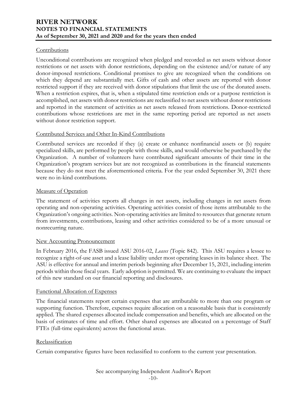#### Contributions

Unconditional contributions are recognized when pledged and recorded as net assets without donor restrictions or net assets with donor restrictions, depending on the existence and/or nature of any donor-imposed restrictions. Conditional promises to give are recognized when the conditions on which they depend are substantially met. Gifts of cash and other assets are reported with donor restricted support if they are received with donor stipulations that limit the use of the donated assets. When a restriction expires, that is, when a stipulated time restriction ends or a purpose restriction is accomplished, net assets with donor restrictions are reclassified to net assets without donor restrictions and reported in the statement of activities as net assets released from restrictions. Donor-restricted contributions whose restrictions are met in the same reporting period are reported as net assets without donor restriction support.

## Contributed Services and Other In-Kind Contributions

Contributed services are recorded if they (a) create or enhance nonfinancial assets or (b) require specialized skills, are performed by people with those skills, and would otherwise be purchased by the Organization. A number of volunteers have contributed significant amounts of their time in the Organization's program services but are not recognized as contributions in the financial statements because they do not meet the aforementioned criteria. For the year ended September 30, 2021 there were no in-kind contributions.

#### Measure of Operation

The statement of activities reports all changes in net assets, including changes in net assets from operating and non-operating activities. Operating activities consist of those items attributable to the Organization's ongoing activities. Non-operating activities are limited to resources that generate return from investments, contributions, leasing and other activities considered to be of a more unusual or nonrecurring nature.

#### New Accounting Pronouncement

In February 2016, the FASB issued ASU 2016-02, *Leases* (Topic 842). This ASU requires a lessee to recognize a right-of-use asset and a lease liability under most operating leases in its balance sheet. The ASU is effective for annual and interim periods beginning after December 15, 2021, including interim periods within those fiscal years. Early adoption is permitted. We are continuing to evaluate the impact of this new standard on our financial reporting and disclosures.

#### Functional Allocation of Expenses

The financial statements report certain expenses that are attributable to more than one program or supporting function. Therefore, expenses require allocation on a reasonable basis that is consistently applied. The shared expenses allocated include compensation and benefits, which are allocated on the basis of estimates of time and effort. Other shared expenses are allocated on a percentage of Staff FTEs (full-time equivalents) across the functional areas.

## Reclassification

Certain comparative figures have been reclassified to conform to the current year presentation.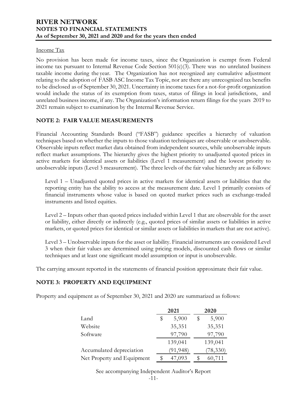#### Income Tax

No provision has been made for income taxes, since the Organization is exempt from Federal income tax pursuant to Internal Revenue Code Section 501(c)(3). There was no unrelated business taxable income during the year. The Organization has not recognized any cumulative adjustment relating to the adoption of FASB ASC Income Tax Topic, nor are there any unrecognized tax benefits to be disclosed as of September 30, 2021. Uncertainty in income taxes for a not-for-profit organization would include the status of its exemption from taxes, status of filings in local jurisdictions, and unrelated business income, if any. The Organization's information return filings for the years 2019 to 2021 remain subject to examination by the Internal Revenue Service.

## **NOTE 2: FAIR VALUE MEASUREMENTS**

Financial Accounting Standards Board ("FASB") guidance specifies a hierarchy of valuation techniques based on whether the inputs to those valuation techniques are observable or unobservable. Observable inputs reflect market data obtained from independent sources, while unobservable inputs reflect market assumptions. The hierarchy gives the highest priority to unadjusted quoted prices in active markets for identical assets or liabilities (Level 1 measurement) and the lowest priority to unobservable inputs (Level 3 measurement). The three levels of the fair value hierarchy are as follows:

Level 1 – Unadjusted quoted prices in active markets for identical assets or liabilities that the reporting entity has the ability to access at the measurement date. Level 1 primarily consists of financial instruments whose value is based on quoted market prices such as exchange-traded instruments and listed equities.

Level 2 – Inputs other than quoted prices included within Level 1 that are observable for the asset or liability, either directly or indirectly (e.g., quoted prices of similar assets or liabilities in active markets, or quoted prices for identical or similar assets or liabilities in markets that are not active).

Level 3 – Unobservable inputs for the asset or liability. Financial instruments are considered Level 3 when their fair values are determined using pricing models, discounted cash flows or similar techniques and at least one significant model assumption or input is unobservable.

The carrying amount reported in the statements of financial position approximate their fair value.

## **NOTE 3: PROPERTY AND EQUIPMENT**

Property and equipment as of September 30, 2021 and 2020 are summarized as follows:

|                            | 2021 |           |    | 2020      |
|----------------------------|------|-----------|----|-----------|
| Land                       | \$   | 5,900     | \$ | 5,900     |
| Website                    |      | 35,351    |    | 35,351    |
| Software                   |      | 97,790    |    | 97,790    |
|                            |      | 139,041   |    | 139,041   |
| Accumulated depreciation   |      | (91, 948) |    | (78, 330) |
| Net Property and Equipment |      | 47,093    | Ж, | 60,711    |

See accompanying Independent Auditor's Report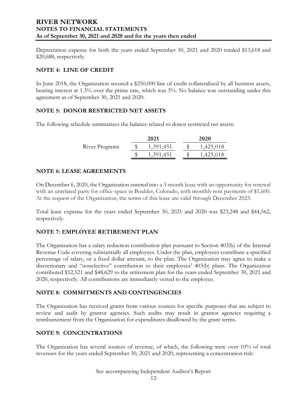Depreciation expense for both the years ended September 30, 2021 and 2020 totaled \$13,618 and \$20,688, respectively.

## **NOTE 4: LINE OF CREDIT**

In June 2018, the Organization secured a \$250,000 line of credit collateralized by all business assets, bearing interest at 1.5% over the prime rate, which was 5%. No balance was outstanding under this agreement as of September 30, 2021 and 2020.

## **NOTE 5: DONOR RESTRICTED NET ASSETS**

The following schedule summarizes the balance related to donor restricted net assets:

|                | 2021      |  | 2020      |
|----------------|-----------|--|-----------|
| River Programs | 1,391,451 |  | 1,425,018 |
|                | 1,391,451 |  | 1,425,018 |

## **NOTE 6: LEASE AGREEMENTS**

On December 6, 2020, the Organization entered into a 3-month lease with an opportunity for renewal with an unrelated party for office space in Boulder, Colorado, with monthly rent payments of \$1,600. At the request of the Organization, the terms of this lease are valid through December 2023.

Total lease expense for the years ended September 30, 2021 and 2020 was \$23,248 and \$44,562, respectively.

## **NOTE 7: EMPLOYEE RETIREMENT PLAN**

The Organization has a salary reduction contribution plan pursuant to Section 403(b) of the Internal Revenue Code covering substantially all employees. Under the plan, employees contribute a specified percentage of salary, or a fixed dollar amount, to the plan. The Organization may agree to make a discretionary and "nonelective" contribution to their employees' 403(b) plans. The Organization contributed \$52,521 and \$48,629 to the retirement plan for the years ended September 30, 2021 and 2020, respectively. All contributions are immediately vested to the employee.

## **NOTE 8: COMMITMENTS AND CONTINGENCIES**

The Organization has received grants from various sources for specific purposes that are subject to review and audit by grantor agencies. Such audits may result in grantor agencies requiring a reimbursement from the Organization for expenditures disallowed by the grant terms.

## **NOTE 9: CONCENTRATIONS**

The Organization has several sources of revenue, of which, the following were over 10% of total revenues for the years ended September 30, 2021 and 2020, representing a concentration risk: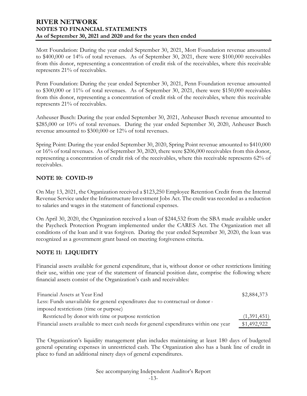Mott Foundation: During the year ended September 30, 2021, Mott Foundation revenue amounted to \$400,000 or 14% of total revenues. As of September 30, 2021, there were \$100,000 receivables from this donor, representing a concentration of credit risk of the receivables, where this receivable represents 21% of receivables.

Penn Foundation: During the year ended September 30, 2021, Penn Foundation revenue amounted to \$300,000 or 11% of total revenues. As of September 30, 2021, there were \$150,000 receivables from this donor, representing a concentration of credit risk of the receivables, where this receivable represents 21% of receivables.

Anheuser Busch: During the year ended September 30, 2021, Anheuser Busch revenue amounted to \$285,000 or 10% of total revenues. During the year ended September 30, 2020, Anheuser Busch revenue amounted to \$300,000 or 12% of total revenues.

Spring Point: During the year ended September 30, 2020, Spring Point revenue amounted to \$410,000 or 16% of total revenues. As of September 30, 2020, there were \$206,000 receivables from this donor, representing a concentration of credit risk of the receivables, where this receivable represents 62% of receivables.

## **NOTE 10: COVID-19**

On May 13, 2021, the Organization received a \$123,250 Employee Retention Credit from the Internal Revenue Service under the Infrastructure Investment Jobs Act. The credit was recorded as a reduction to salaries and wages in the statement of functional expenses.

On April 30, 2020, the Organization received a loan of \$244,532 from the SBA made available under the Paycheck Protection Program implemented under the CARES Act. The Organization met all conditions of the loan and it was forgiven. During the year ended September 30, 2020, the loan was recognized as a government grant based on meeting forgiveness criteria.

## **NOTE 11: LIQUIDITY**

Financial assets available for general expenditure, that is, without donor or other restrictions limiting their use, within one year of the statement of financial position date, comprise the following where financial assets consist of the Organization's cash and receivables:

| Financial Assets at Year End                                                           | \$2,884,373 |
|----------------------------------------------------------------------------------------|-------------|
| Less: Funds unavailable for general expenditures due to contractual or donor-          |             |
| imposed restrictions (time or purpose)                                                 |             |
| Restricted by donor with time or purpose restriction                                   | (1,391,451) |
| Financial assets available to meet cash needs for general expenditures within one year | \$1,492,922 |

The Organization's liquidity management plan includes maintaining at least 180 days of budgeted general operating expenses in unrestricted cash. The Organization also has a bank line of credit in place to fund an additional ninety days of general expenditures.

See accompanying Independent Auditor's Report